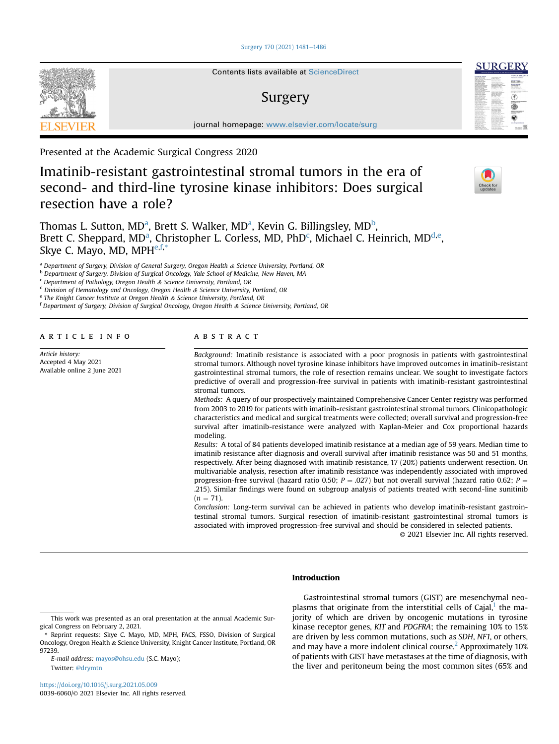## [Surgery 170 \(2021\) 1481](https://doi.org/10.1016/j.surg.2021.05.009)-[1486](https://doi.org/10.1016/j.surg.2021.05.009)



Contents lists available at ScienceDirect

# Surgery

journal homepage: [www.elsevier.com/locate/surg](http://www.elsevier.com/locate/surg)

Presented at the Academic Surgical Congress 2020

# Imatinib-resistant gastrointestinal stromal tumors in the era of second- and third-line tyrosine kinase inhibitors: Does surgical resection have a role?



**SURGER** 

Thom[a](#page-0-0)s L. Sutton, MD<sup>a</sup>, Brett S. Walker, MD<sup>a</sup>, Kevin G. Billingsley, MD<sup>[b](#page-0-1)</sup>, Brett C. Shepp[a](#page-0-0)r[d](#page-0-3), MD<sup>a</sup>, Christopher L. Corless, MD, PhD<sup>c</sup>, Michael C. Heinrich, MD<sup>d[,e](#page-0-4)</sup>, Skye C. Mayo, MD, MPH $e, f, *$  $e, f, *$  $e, f, *$  $e, f, *$ 

<span id="page-0-0"></span><sup>a</sup> Department of Surgery, Division of General Surgery, Oregon Health & Science University, Portland, OR

<span id="page-0-1"></span>**b** Department of Surgery, Division of Surgical Oncology, Yale School of Medicine, New Haven, MA

<span id="page-0-2"></span> $c$  Department of Pathology, Oregon Health & Science University, Portland, OR

<span id="page-0-3"></span><sup>d</sup> Division of Hematology and Oncology, Oregon Health & Science University, Portland, OR

<span id="page-0-4"></span><sup>e</sup> The Knight Cancer Institute at Oregon Health & Science University, Portland, OR

<span id="page-0-5"></span> $f$  Department of Surgery, Division of Surgical Oncology, Oregon Health & Science University, Portland, OR

article info

Article history: Accepted 4 May 2021 Available online 2 June 2021

# ABSTRACT

Background: Imatinib resistance is associated with a poor prognosis in patients with gastrointestinal stromal tumors. Although novel tyrosine kinase inhibitors have improved outcomes in imatinib-resistant gastrointestinal stromal tumors, the role of resection remains unclear. We sought to investigate factors predictive of overall and progression-free survival in patients with imatinib-resistant gastrointestinal stromal tumors.

Methods: A query of our prospectively maintained Comprehensive Cancer Center registry was performed from 2003 to 2019 for patients with imatinib-resistant gastrointestinal stromal tumors. Clinicopathologic characteristics and medical and surgical treatments were collected; overall survival and progression-free survival after imatinib-resistance were analyzed with Kaplan-Meier and Cox proportional hazards modeling.

Results: A total of 84 patients developed imatinib resistance at a median age of 59 years. Median time to imatinib resistance after diagnosis and overall survival after imatinib resistance was 50 and 51 months, respectively. After being diagnosed with imatinib resistance, 17 (20%) patients underwent resection. On multivariable analysis, resection after imatinib resistance was independently associated with improved progression-free survival (hazard ratio 0.50;  $P = .027$ ) but not overall survival (hazard ratio 0.62;  $P =$ .215). Similar findings were found on subgroup analysis of patients treated with second-line sunitinib  $(n = 71)$ .

Conclusion: Long-term survival can be achieved in patients who develop imatinib-resistant gastrointestinal stromal tumors. Surgical resection of imatinib-resistant gastrointestinal stromal tumors is associated with improved progression-free survival and should be considered in selected patients.

© 2021 Elsevier Inc. All rights reserved.

# Introduction

E-mail address: [mayos@ohsu.edu](mailto:mayos@ohsu.edu) (S.C. Mayo); Twitter: [@drymtn](https://twitter.com/drymtn)

<https://doi.org/10.1016/j.surg.2021.05.009> 0039-6060/© 2021 Elsevier Inc. All rights reserved.

Gastrointestinal stromal tumors (GIST) are mesenchymal neoplasms that originate from the interstitial cells of Cajal, $<sup>1</sup>$  $<sup>1</sup>$  $<sup>1</sup>$  the ma-</sup> jority of which are driven by oncogenic mutations in tyrosine kinase receptor genes, KIT and PDGFRA; the remaining 10% to 15% are driven by less common mutations, such as SDH, NF1, or others, and may have a more indolent clinical course. Approximately  $10\%$ of patients with GIST have metastases at the time of diagnosis, with the liver and peritoneum being the most common sites (65% and

This work was presented as an oral presentation at the annual Academic Surgical Congress on February 2, 2021.

<span id="page-0-6"></span><sup>\*</sup> Reprint requests: Skye C. Mayo, MD, MPH, FACS, FSSO, Division of Surgical Oncology, Oregon Health & Science University, Knight Cancer Institute, Portland, OR 97239.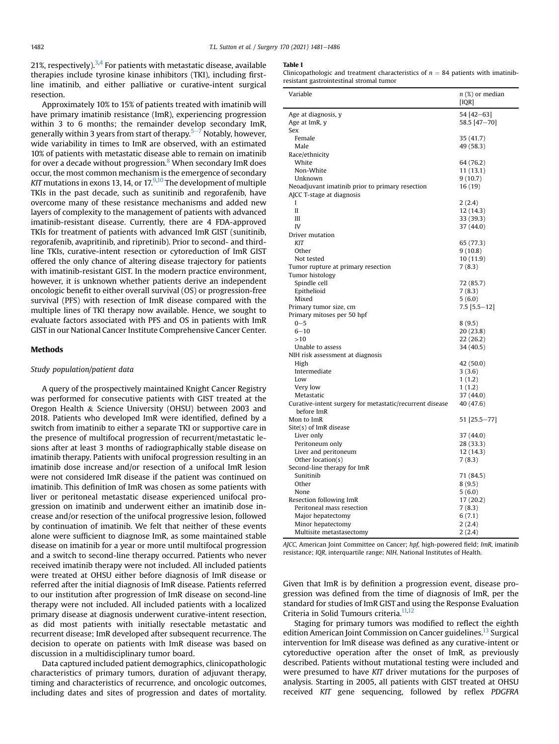21%, respectively). $3,4$  $3,4$  For patients with metastatic disease, available therapies include tyrosine kinase inhibitors (TKI), including firstline imatinib, and either palliative or curative-intent surgical resection.

Approximately 10% to 15% of patients treated with imatinib will have primary imatinib resistance (ImR), experiencing progression within 3 to 6 months; the remainder develop secondary ImR, generally within 3 years from start of therapy.<sup>[5](#page-5-4)–[7](#page-5-4)</sup> Notably, however, wide variability in times to ImR are observed, with an estimated 10% of patients with metastatic disease able to remain on imatinib for over a decade without progression. $8$  When secondary ImR does occur, the most common mechanism is the emergence of secondary KIT mutations in exons 13, 14, or  $17^{9,10}$  $17^{9,10}$  $17^{9,10}$  $17^{9,10}$  The development of multiple TKIs in the past decade, such as sunitinib and regorafenib, have overcome many of these resistance mechanisms and added new layers of complexity to the management of patients with advanced imatinib-resistant disease. Currently, there are 4 FDA-approved TKIs for treatment of patients with advanced ImR GIST (sunitinib, regorafenib, avapritinib, and ripretinib). Prior to second- and thirdline TKIs, curative-intent resection or cytoreduction of ImR GIST offered the only chance of altering disease trajectory for patients with imatinib-resistant GIST. In the modern practice environment, however, it is unknown whether patients derive an independent oncologic benefit to either overall survival (OS) or progression-free survival (PFS) with resection of ImR disease compared with the multiple lines of TKI therapy now available. Hence, we sought to evaluate factors associated with PFS and OS in patients with ImR GIST in our National Cancer Institute Comprehensive Cancer Center.

### Methods

### Study population/patient data

A query of the prospectively maintained Knight Cancer Registry was performed for consecutive patients with GIST treated at the Oregon Health & Science University (OHSU) between 2003 and 2018. Patients who developed ImR were identified, defined by a switch from imatinib to either a separate TKI or supportive care in the presence of multifocal progression of recurrent/metastatic lesions after at least 3 months of radiographically stable disease on imatinib therapy. Patients with unifocal progression resulting in an imatinib dose increase and/or resection of a unifocal ImR lesion were not considered ImR disease if the patient was continued on imatinib. This definition of ImR was chosen as some patients with liver or peritoneal metastatic disease experienced unifocal progression on imatinib and underwent either an imatinib dose increase and/or resection of the unifocal progressive lesion, followed by continuation of imatinib. We felt that neither of these events alone were sufficient to diagnose ImR, as some maintained stable disease on imatinib for a year or more until multifocal progression and a switch to second-line therapy occurred. Patients who never received imatinib therapy were not included. All included patients were treated at OHSU either before diagnosis of ImR disease or referred after the initial diagnosis of ImR disease. Patients referred to our institution after progression of ImR disease on second-line therapy were not included. All included patients with a localized primary disease at diagnosis underwent curative-intent resection, as did most patients with initially resectable metastatic and recurrent disease; ImR developed after subsequent recurrence. The decision to operate on patients with ImR disease was based on discussion in a multidisciplinary tumor board.

Data captured included patient demographics, clinicopathologic characteristics of primary tumors, duration of adjuvant therapy, timing and characteristics of recurrence, and oncologic outcomes, including dates and sites of progression and dates of mortality.

#### <span id="page-1-0"></span>Table I

Clinicopathologic and treatment characteristics of  $n = 84$  patients with imatinibresistant gastrointestinal stromal tumor

| Variable                                                 | $n$ (%) or median |
|----------------------------------------------------------|-------------------|
|                                                          | [IOR]             |
| Age at diagnosis, y                                      | 54 [42-63]        |
| Age at ImR, y                                            | 58.5 [47-70]      |
|                                                          |                   |
| Sex<br>Female                                            |                   |
|                                                          | 35 (41.7)         |
| Male                                                     | 49 (58.3)         |
| Race/ethnicity                                           |                   |
| White                                                    | 64 (76.2)         |
| Non-White                                                | 11 (13.1)         |
| Unknown                                                  | 9(10.7)           |
| Neoadjuvant imatinib prior to primary resection          | 16 (19)           |
| AJCC T-stage at diagnosis                                |                   |
| I                                                        | 2(2.4)            |
| $\mathbf{I}$                                             | 12 (14.3)         |
| Ш                                                        | 33 (39.3)         |
| IV                                                       | 37 (44.0)         |
| Driver mutation                                          |                   |
| KIT                                                      | 65 (77.3)         |
| Other                                                    | 9(10.8)           |
| Not tested                                               | 10 (11.9)         |
| Tumor rupture at primary resection                       | 7(8.3)            |
| Tumor histology                                          |                   |
| Spindle cell                                             | 72 (85.7)         |
| Epithelioid                                              | 7(8.3)            |
| Mixed                                                    | 5(6.0)            |
| Primary tumor size, cm                                   | $7.5$ [5.5-12]    |
| Primary mitoses per 50 hpf                               |                   |
| $0 - 5$                                                  | 8(9.5)            |
| $6 - 10$                                                 | 20 (23.8)         |
| >10                                                      | 22 (26.2)         |
| Unable to assess                                         | 34 (40.5)         |
| NIH risk assessment at diagnosis                         |                   |
| High                                                     | 42 (50.0)         |
| Intermediate                                             | 3(3.6)            |
| Low                                                      | 1(1.2)            |
| Very low                                                 | 1(1.2)            |
| Metastatic                                               | 37 (44.0)         |
| Curative-intent surgery for metastatic/recurrent disease | 40 (47.6)         |
| before ImR                                               |                   |
| Mon to ImR                                               | 51 [25.5-77]      |
| Site(s) of ImR disease                                   |                   |
| Liver only                                               | 37 (44.0)         |
| Peritoneum only                                          | 28 (33.3)         |
| Liver and peritoneum                                     |                   |
|                                                          | 12 (14.3)         |
| Other location(s)                                        | 7(8.3)            |
| Second-line therapy for ImR                              |                   |
| Sunitinib                                                | 71 (84.5)         |
| Other                                                    | 8(9.5)            |
| None                                                     | 5(6.0)            |
| Resection following ImR                                  | 17 (20.2)         |
| Peritoneal mass resection                                | 7(8.3)            |
| Major hepatectomy                                        | 6(7.1)            |
| Minor hepatectomy                                        | 2(2.4)            |
| Multisite metastasectomy                                 | 2(2.4)            |

AJCC, American Joint Committee on Cancer; hpf, high-powered field; ImR, imatinib resistance; IQR, interquartile range; NIH, National Institutes of Health.

Given that ImR is by definition a progression event, disease progression was defined from the time of diagnosis of ImR, per the standard for studies of ImR GIST and using the Response Evaluation Criteria in Solid Tumours criteria.<sup>11,[12](#page-5-9)</sup>

Staging for primary tumors was modified to reflect the eighth edition American Joint Commission on Cancer guidelines.<sup>[13](#page-5-10)</sup> Surgical intervention for ImR disease was defined as any curative-intent or cytoreductive operation after the onset of ImR, as previously described. Patients without mutational testing were included and were presumed to have KIT driver mutations for the purposes of analysis. Starting in 2005, all patients with GIST treated at OHSU received KIT gene sequencing, followed by reflex PDGFRA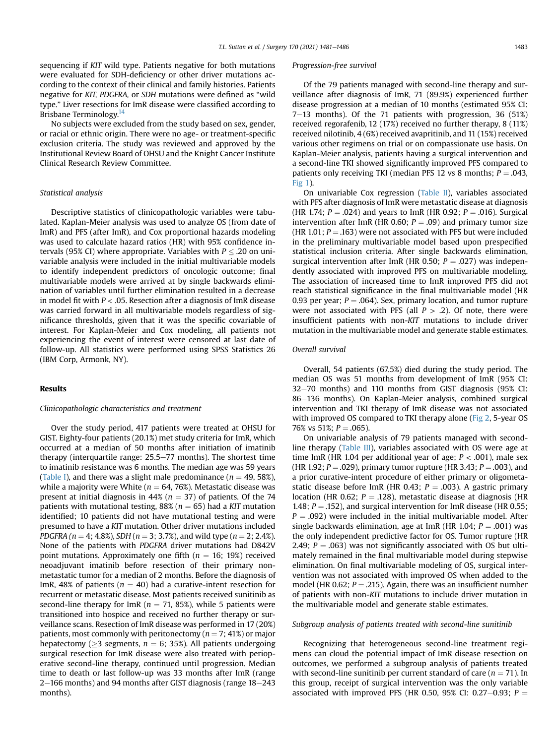sequencing if KIT wild type. Patients negative for both mutations were evaluated for SDH-deficiency or other driver mutations according to the context of their clinical and family histories. Patients negative for KIT, PDGFRA, or SDH mutations were defined as "wild type." Liver resections for ImR disease were classified according to Brisbane Terminology.<sup>[14](#page-5-11)</sup>

No subjects were excluded from the study based on sex, gender, or racial or ethnic origin. There were no age- or treatment-specific exclusion criteria. The study was reviewed and approved by the Institutional Review Board of OHSU and the Knight Cancer Institute Clinical Research Review Committee.

#### Statistical analysis

Descriptive statistics of clinicopathologic variables were tabulated. Kaplan-Meier analysis was used to analyze OS (from date of ImR) and PFS (after ImR), and Cox proportional hazards modeling was used to calculate hazard ratios (HR) with 95% confidence intervals (95% CI) where appropriate. Variables with  $P \leq .20$  on univariable analysis were included in the initial multivariable models to identify independent predictors of oncologic outcome; final multivariable models were arrived at by single backwards elimination of variables until further elimination resulted in a decrease in model fit with  $P <$  .05. Resection after a diagnosis of ImR disease was carried forward in all multivariable models regardless of significance thresholds, given that it was the specific covariable of interest. For Kaplan-Meier and Cox modeling, all patients not experiencing the event of interest were censored at last date of follow-up. All statistics were performed using SPSS Statistics 26 (IBM Corp, Armonk, NY).

## Results

#### Clinicopathologic characteristics and treatment

Over the study period, 417 patients were treated at OHSU for GIST. Eighty-four patients (20.1%) met study criteria for ImR, which occurred at a median of 50 months after initiation of imatinib therapy (interquartile range:  $25.5-77$  months). The shortest time to imatinib resistance was 6 months. The median age was 59 years ([Table I](#page-1-0)), and there was a slight male predominance ( $n = 49, 58\%$ ), while a majority were White ( $n = 64, 76\%$ ). Metastatic disease was present at initial diagnosis in 44% ( $n = 37$ ) of patients. Of the 74 patients with mutational testing, 88% ( $n = 65$ ) had a KIT mutation identified; 10 patients did not have mutational testing and were presumed to have a KIT mutation. Other driver mutations included PDGFRA ( $n = 4$ ; 4.8%), SDH ( $n = 3$ ; 3.7%), and wild type ( $n = 2$ ; 2.4%). None of the patients with PDGFRA driver mutations had D842V point mutations. Approximately one fifth ( $n = 16$ ; 19%) received neoadjuvant imatinib before resection of their primary nonmetastatic tumor for a median of 2 months. Before the diagnosis of ImR, 48% of patients ( $n = 40$ ) had a curative-intent resection for recurrent or metastatic disease. Most patients received sunitinib as second-line therapy for ImR ( $n = 71, 85\%$ ), while 5 patients were transitioned into hospice and received no further therapy or surveillance scans. Resection of ImR disease was performed in 17 (20%) patients, most commonly with peritonectomy ( $n = 7$ ; 41%) or major hepatectomy ( $\geq$ 3 segments,  $n = 6$ ; 35%). All patients undergoing surgical resection for ImR disease were also treated with perioperative second-line therapy, continued until progression. Median time to death or last follow-up was 33 months after ImR (range  $2-166$  months) and 94 months after GIST diagnosis (range  $18-243$ months).

#### Progression-free survival

Of the 79 patients managed with second-line therapy and surveillance after diagnosis of ImR, 71 (89.9%) experienced further disease progression at a median of 10 months (estimated 95% CI:  $7-13$  months). Of the 71 patients with progression, 36 (51%) received regorafenib, 12 (17%) received no further therapy, 8 (11%) received nilotinib, 4 (6%) received avapritinib, and 11 (15%) received various other regimens on trial or on compassionate use basis. On Kaplan-Meier analysis, patients having a surgical intervention and a second-line TKI showed significantly improved PFS compared to patients only receiving TKI (median PFS 12 vs 8 months;  $P = .043$ , [Fig 1\)](#page-3-0).

On univariable Cox regression [\(Table II](#page-3-1)), variables associated with PFS after diagnosis of ImR were metastatic disease at diagnosis (HR 1.74;  $P = .024$ ) and years to ImR (HR 0.92;  $P = .016$ ). Surgical intervention after ImR (HR 0.60;  $P = .09$ ) and primary tumor size (HR 1.01;  $P = .163$ ) were not associated with PFS but were included in the preliminary multivariable model based upon prespecified statistical inclusion criteria. After single backwards elimination, surgical intervention after ImR (HR 0.50;  $P = .027$ ) was independently associated with improved PFS on multivariable modeling. The association of increased time to ImR improved PFS did not reach statistical significance in the final multivariable model (HR 0.93 per year;  $P = .064$ ). Sex, primary location, and tumor rupture were not associated with PFS (all  $P > .2$ ). Of note, there were insufficient patients with non-KIT mutations to include driver mutation in the multivariable model and generate stable estimates.

#### Overall survival

Overall, 54 patients (67.5%) died during the study period. The median OS was 51 months from development of ImR (95% CI:  $32-70$  months) and 110 months from GIST diagnosis (95% CI: 86-136 months). On Kaplan-Meier analysis, combined surgical intervention and TKI therapy of ImR disease was not associated with improved OS compared to TKI therapy alone ([Fig 2,](#page-4-0) 5-year OS 76% vs 51%;  $P = .065$ ).

On univariable analysis of 79 patients managed with secondline therapy [\(Table III](#page-4-1)), variables associated with OS were age at time ImR (HR 1.04 per additional year of age;  $P < .001$ ), male sex (HR 1.92;  $P = .029$ ), primary tumor rupture (HR 3.43;  $P = .003$ ), and a prior curative-intent procedure of either primary or oligometastatic disease before ImR (HR 0.43;  $P = .003$ ). A gastric primary location (HR 0.62;  $P = .128$ ), metastatic disease at diagnosis (HR 1.48;  $P = .152$ ), and surgical intervention for ImR disease (HR 0.55;  $P = .092$ ) were included in the initial multivariable model. After single backwards elimination, age at ImR (HR 1.04;  $P = .001$ ) was the only independent predictive factor for OS. Tumor rupture (HR 2.49;  $P = .063$ ) was not significantly associated with OS but ultimately remained in the final multivariable model during stepwise elimination. On final multivariable modeling of OS, surgical intervention was not associated with improved OS when added to the model (HR 0.62;  $P = .215$ ). Again, there was an insufficient number of patients with non-KIT mutations to include driver mutation in the multivariable model and generate stable estimates.

#### Subgroup analysis of patients treated with second-line sunitinib

Recognizing that heterogeneous second-line treatment regimens can cloud the potential impact of ImR disease resection on outcomes, we performed a subgroup analysis of patients treated with second-line sunitinib per current standard of care ( $n = 71$ ). In this group, receipt of surgical intervention was the only variable associated with improved PFS (HR 0.50, 95% CI: 0.27–0.93;  $P =$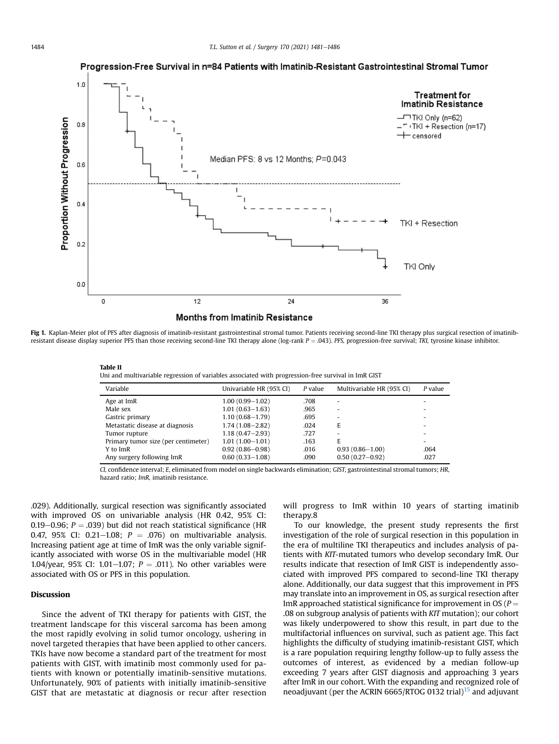Progression-Free Survival in n=84 Patients with Imatinib-Resistant Gastrointestinal Stromal Tumor

<span id="page-3-0"></span>

Fig 1. Kaplan-Meier plot of PFS after diagnosis of imatinib-resistant gastrointestinal stromal tumor. Patients receiving second-line TKI therapy plus surgical resection of imatinibresistant disease display superior PFS than those receiving second-line TKI therapy alone (log-rank  $P = .043$ ). PFS, progression-free survival; TKI, tyrosine kinase inhibitor.

<span id="page-3-1"></span>

|--|--|

| Uni and multivariable regression of variables associated with progression-free survival in ImR GIST |  |  |  |  |  |
|-----------------------------------------------------------------------------------------------------|--|--|--|--|--|
|                                                                                                     |  |  |  |  |  |

| Variable                            | Univariable HR (95% CI) | $P$ value | Multivariable HR (95% CI) | $P$ value |
|-------------------------------------|-------------------------|-----------|---------------------------|-----------|
| Age at ImR                          | $1.00(0.99 - 1.02)$     | .708      |                           |           |
| Male sex                            | $1.01(0.63 - 1.63)$     | .965      |                           |           |
| Gastric primary                     | $1.10(0.68 - 1.79)$     | .695      |                           |           |
| Metastatic disease at diagnosis     | $1.74(1.08 - 2.82)$     | .024      | E                         |           |
| Tumor rupture                       | $1.18(0.47 - 2.93)$     | .727      |                           |           |
| Primary tumor size (per centimeter) | $1.01(1.00 - 1.01)$     | .163      | E.                        |           |
| Y to ImR                            | $0.92(0.86 - 0.98)$     | .016      | $0.93(0.86 - 1.00)$       | .064      |
| Any surgery following ImR           | $0.60(0.33 - 1.08)$     | .090      | $0.50(0.27 - 0.92)$       | .027      |

CI, confidence interval; E, eliminated from model on single backwards elimination; GIST, gastrointestinal stromal tumors; HR, hazard ratio; ImR, imatinib resistance.

.029). Additionally, surgical resection was significantly associated with improved OS on univariable analysis (HR 0.42, 95% CI: 0.19–0.96;  $P = .039$ ) but did not reach statistical significance (HR 0.47, 95% CI: 0.21-1.08;  $P = .076$  on multivariable analysis. Increasing patient age at time of ImR was the only variable significantly associated with worse OS in the multivariable model (HR 1.04/year, 95% CI: 1.01-1.07;  $P = .011$ ). No other variables were associated with OS or PFS in this population.

## Discussion

Since the advent of TKI therapy for patients with GIST, the treatment landscape for this visceral sarcoma has been among the most rapidly evolving in solid tumor oncology, ushering in novel targeted therapies that have been applied to other cancers. TKIs have now become a standard part of the treatment for most patients with GIST, with imatinib most commonly used for patients with known or potentially imatinib-sensitive mutations. Unfortunately, 90% of patients with initially imatinib-sensitive GIST that are metastatic at diagnosis or recur after resection will progress to ImR within 10 years of starting imatinib therapy.8

To our knowledge, the present study represents the first investigation of the role of surgical resection in this population in the era of multiline TKI therapeutics and includes analysis of patients with KIT-mutated tumors who develop secondary ImR. Our results indicate that resection of ImR GIST is independently associated with improved PFS compared to second-line TKI therapy alone. Additionally, our data suggest that this improvement in PFS may translate into an improvement in OS, as surgical resection after ImR approached statistical significance for improvement in OS ( $P =$ .08 on subgroup analysis of patients with KIT mutation); our cohort was likely underpowered to show this result, in part due to the multifactorial influences on survival, such as patient age. This fact highlights the difficulty of studying imatinib-resistant GIST, which is a rare population requiring lengthy follow-up to fully assess the outcomes of interest, as evidenced by a median follow-up exceeding 7 years after GIST diagnosis and approaching 3 years after ImR in our cohort. With the expanding and recognized role of neoadjuvant (per the ACRIN 6665/RTOG 0132 trial)<sup>[15](#page-5-12)</sup> and adjuvant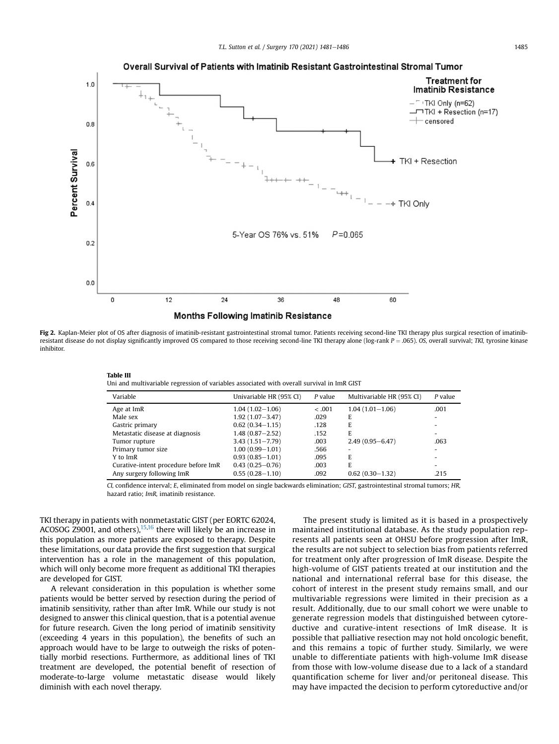<span id="page-4-0"></span>

Fig 2. Kaplan-Meier plot of OS after diagnosis of imatinib-resistant gastrointestinal stromal tumor. Patients receiving second-line TKI therapy plus surgical resection of imatinibresistant disease do not display significantly improved OS compared to those receiving second-line TKI therapy alone (log-rank  $P = 0.065$ ). OS, overall survival; TKI, tyrosine kinase inhibitor.

| таріе пі                                                                                   |  |  |
|--------------------------------------------------------------------------------------------|--|--|
| Uni and multivariable regression of variables associated with overall survival in ImR GIST |  |  |

| Variable                             | Univariable HR (95% CI) | P value | Multivariable HR (95% CI) | P value                  |
|--------------------------------------|-------------------------|---------|---------------------------|--------------------------|
| Age at ImR                           | $1.04(1.02 - 1.06)$     | $-.001$ | $1.04(1.01-1.06)$         | .001                     |
| Male sex                             | $1.92(1.07 - 3.47)$     | .029    | E                         | $\overline{\phantom{a}}$ |
| Gastric primary                      | $0.62(0.34 - 1.15)$     | .128    | E                         |                          |
| Metastatic disease at diagnosis      | $1.48(0.87 - 2.52)$     | .152    | E                         | $\overline{\phantom{0}}$ |
| Tumor rupture                        | $3.43(1.51 - 7.79)$     | .003    | $2.49(0.95 - 6.47)$       | .063                     |
| Primary tumor size                   | $1.00(0.99 - 1.01)$     | .566    |                           | $\overline{\phantom{0}}$ |
| Y to ImR                             | $0.93(0.85 - 1.01)$     | .095    | E                         |                          |
| Curative-intent procedure before ImR | $0.43(0.25 - 0.76)$     | .003    | E                         | $\overline{\phantom{0}}$ |
| Any surgery following ImR            | $0.55(0.28 - 1.10)$     | .092    | $0.62(0.30-1.32)$         | .215                     |

CI, confidence interval; E, eliminated from model on single backwards elimination; GIST, gastrointestinal stromal tumors; HR, hazard ratio; ImR, imatinib resistance.

TKI therapy in patients with nonmetastatic GIST (per EORTC 62024, ACOSOG  $\overline{29001}$ , and others),  $15,16$  $15,16$  $15,16$  there will likely be an increase in this population as more patients are exposed to therapy. Despite these limitations, our data provide the first suggestion that surgical intervention has a role in the management of this population, which will only become more frequent as additional TKI therapies are developed for GIST.

<span id="page-4-1"></span>mark III

A relevant consideration in this population is whether some patients would be better served by resection during the period of imatinib sensitivity, rather than after ImR. While our study is not designed to answer this clinical question, that is a potential avenue for future research. Given the long period of imatinib sensitivity (exceeding 4 years in this population), the benefits of such an approach would have to be large to outweigh the risks of potentially morbid resections. Furthermore, as additional lines of TKI treatment are developed, the potential benefit of resection of moderate-to-large volume metastatic disease would likely diminish with each novel therapy.

The present study is limited as it is based in a prospectively maintained institutional database. As the study population represents all patients seen at OHSU before progression after ImR, the results are not subject to selection bias from patients referred for treatment only after progression of ImR disease. Despite the high-volume of GIST patients treated at our institution and the national and international referral base for this disease, the cohort of interest in the present study remains small, and our multivariable regressions were limited in their precision as a result. Additionally, due to our small cohort we were unable to generate regression models that distinguished between cytoreductive and curative-intent resections of ImR disease. It is possible that palliative resection may not hold oncologic benefit, and this remains a topic of further study. Similarly, we were unable to differentiate patients with high-volume ImR disease from those with low-volume disease due to a lack of a standard quantification scheme for liver and/or peritoneal disease. This may have impacted the decision to perform cytoreductive and/or